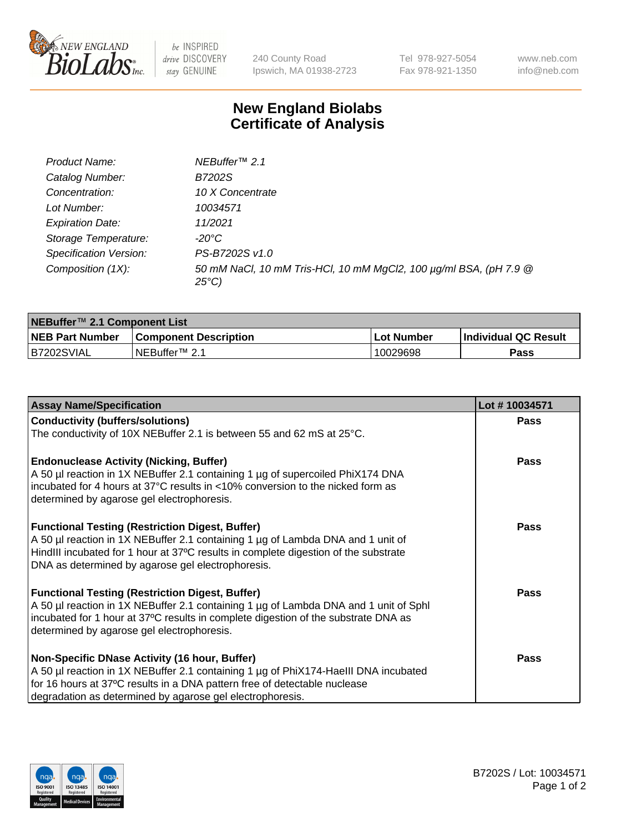

be INSPIRED drive DISCOVERY stay GENUINE

240 County Road Ipswich, MA 01938-2723 Tel 978-927-5054 Fax 978-921-1350 www.neb.com info@neb.com

## **New England Biolabs Certificate of Analysis**

| Product Name:           | NEBuffer <sup>™</sup> 2.1                                                          |
|-------------------------|------------------------------------------------------------------------------------|
| Catalog Number:         | B7202S                                                                             |
| Concentration:          | 10 X Concentrate                                                                   |
| Lot Number:             | 10034571                                                                           |
| <b>Expiration Date:</b> | 11/2021                                                                            |
| Storage Temperature:    | -20°C                                                                              |
| Specification Version:  | PS-B7202S v1.0                                                                     |
| Composition (1X):       | 50 mM NaCl, 10 mM Tris-HCl, 10 mM MgCl2, 100 µg/ml BSA, (pH 7.9 @<br>$25^{\circ}C$ |

| NEBuffer <sup>™</sup> 2.1 Component List |                              |                   |                             |  |  |
|------------------------------------------|------------------------------|-------------------|-----------------------------|--|--|
| <b>NEB Part Number</b>                   | <b>Component Description</b> | <b>Lot Number</b> | <b>Individual QC Result</b> |  |  |
| B7202SVIAL                               | NEBuffer™ 2.1                | 10029698          | <b>Pass</b>                 |  |  |

| <b>Assay Name/Specification</b>                                                                                                                                                                                                                                                       | Lot #10034571 |
|---------------------------------------------------------------------------------------------------------------------------------------------------------------------------------------------------------------------------------------------------------------------------------------|---------------|
| <b>Conductivity (buffers/solutions)</b>                                                                                                                                                                                                                                               | <b>Pass</b>   |
| The conductivity of 10X NEBuffer 2.1 is between 55 and 62 mS at 25°C.                                                                                                                                                                                                                 |               |
| <b>Endonuclease Activity (Nicking, Buffer)</b><br>A 50 µl reaction in 1X NEBuffer 2.1 containing 1 µg of supercoiled PhiX174 DNA<br>incubated for 4 hours at 37°C results in <10% conversion to the nicked form as<br>determined by agarose gel electrophoresis.                      | <b>Pass</b>   |
| <b>Functional Testing (Restriction Digest, Buffer)</b><br>A 50 µl reaction in 1X NEBuffer 2.1 containing 1 µg of Lambda DNA and 1 unit of<br>HindIII incubated for 1 hour at 37°C results in complete digestion of the substrate<br>DNA as determined by agarose gel electrophoresis. | <b>Pass</b>   |
| <b>Functional Testing (Restriction Digest, Buffer)</b><br>A 50 µl reaction in 1X NEBuffer 2.1 containing 1 µg of Lambda DNA and 1 unit of Sphl<br>incubated for 1 hour at 37°C results in complete digestion of the substrate DNA as<br>determined by agarose gel electrophoresis.    | Pass          |
| Non-Specific DNase Activity (16 hour, Buffer)<br>A 50 µl reaction in 1X NEBuffer 2.1 containing 1 µg of PhiX174-HaellI DNA incubated<br>for 16 hours at 37°C results in a DNA pattern free of detectable nuclease<br>degradation as determined by agarose gel electrophoresis.        | Pass          |